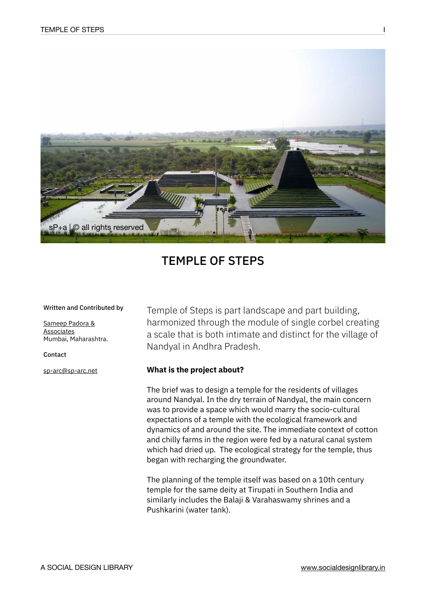

# TEMPLE OF STEPS

#### Written and Contributed by

[Sameep Padora &](https://www.sp-arc.net/)  [Associates](https://www.sp-arc.net/) Mumbai, Maharashtra.

Contact

[sp-arc@sp-arc.net](mailto:sp-arc@sp-arc.net)

Temple of Steps is part landscape and part building, harmonized through the module of single corbel creating a scale that is both intimate and distinct for the village of Nandyal in Andhra Pradesh.

### **What is the project about?**

The brief was to design a temple for the residents of villages around Nandyal. In the dry terrain of Nandyal, the main concern was to provide a space which would marry the socio-cultural expectations of a temple with the ecological framework and dynamics of and around the site. The immediate context of cotton and chilly farms in the region were fed by a natural canal system which had dried up. The ecological strategy for the temple, thus began with recharging the groundwater.

The planning of the temple itself was based on a 10th century temple for the same deity at Tirupati in Southern India and similarly includes the Balaji & Varahaswamy shrines and a Pushkarini (water tank).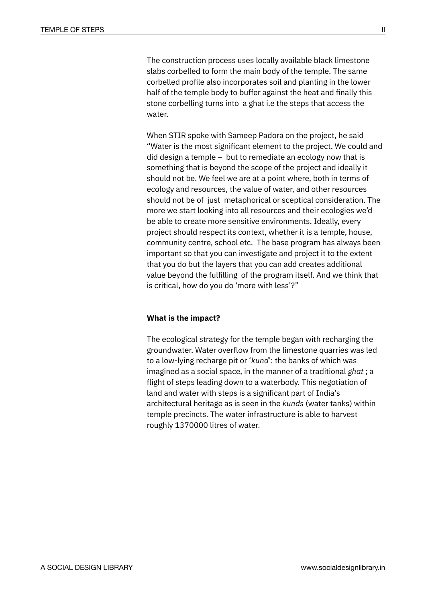The construction process uses locally available black limestone slabs corbelled to form the main body of the temple. The same corbelled profile also incorporates soil and planting in the lower half of the temple body to buffer against the heat and finally this stone corbelling turns into a ghat i.e the steps that access the water.

When STIR spoke with Sameep Padora on the project, he said "Water is the most significant element to the project. We could and did design a temple – but to remediate an ecology now that is something that is beyond the scope of the project and ideally it should not be. We feel we are at a point where, both in terms of ecology and resources, the value of water, and other resources should not be of just metaphorical or sceptical consideration. The more we start looking into all resources and their ecologies we'd be able to create more sensitive environments. Ideally, every project should respect its context, whether it is a temple, house, community centre, school etc. The base program has always been important so that you can investigate and project it to the extent that you do but the layers that you can add creates additional value beyond the fulfilling of the program itself. And we think that is critical, how do you do 'more with less'?"

### **What is the impact?**

The ecological strategy for the temple began with recharging the groundwater. Water overflow from the limestone quarries was led to a low-lying recharge pit or '*kund*': the banks of which was imagined as a social space, in the manner of a traditional *ghat* ; a flight of steps leading down to a waterbody. This negotiation of land and water with steps is a significant part of India's architectural heritage as is seen in the *kunds* (water tanks) within temple precincts. The water infrastructure is able to harvest roughly 1370000 litres of water.